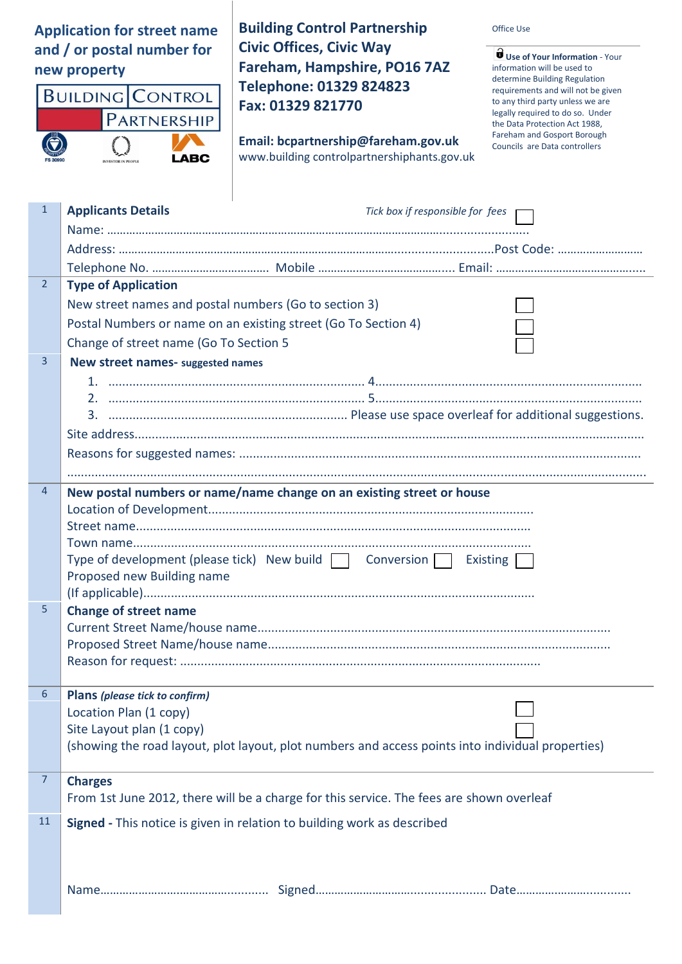**Application for street name and / or postal number for new property**



**Building Control Partnership Civic Offices, Civic Way Fareham, Hampshire, PO16 7AZ Telephone: 01329 824823 Fax: 01329 821770**

**Email: [bcpartnership@fareham.gov.uk](mailto:bcpartnership@fareham.gov.uk)** www.building controlpartnershiphants.gov.uk Office Use

**Use of Your Information** - Your information will be used to determine Building Regulation requirements and will not be given to any third party unless we are legally required to do so. Under the Data Protection Act 1988, Fareham and Gosport Borough Councils are Data controllers

| $\mathbf{1}$   | <b>Applicants Details</b><br>Tick box if responsible for fees                                                                  |
|----------------|--------------------------------------------------------------------------------------------------------------------------------|
|                |                                                                                                                                |
|                |                                                                                                                                |
|                |                                                                                                                                |
| $\overline{2}$ | <b>Type of Application</b>                                                                                                     |
|                | New street names and postal numbers (Go to section 3)                                                                          |
|                | Postal Numbers or name on an existing street (Go To Section 4)                                                                 |
|                | Change of street name (Go To Section 5                                                                                         |
| 3              | New street names- suggested names                                                                                              |
|                |                                                                                                                                |
|                |                                                                                                                                |
|                |                                                                                                                                |
|                |                                                                                                                                |
|                |                                                                                                                                |
|                |                                                                                                                                |
| $\overline{4}$ | New postal numbers or name/name change on an existing street or house                                                          |
|                |                                                                                                                                |
|                |                                                                                                                                |
|                |                                                                                                                                |
|                | Type of development (please tick) New build   Conversion   Existing                                                            |
|                | Proposed new Building name                                                                                                     |
| 5              | <b>Change of street name</b>                                                                                                   |
|                |                                                                                                                                |
|                |                                                                                                                                |
|                |                                                                                                                                |
|                |                                                                                                                                |
| 6              | Plans (please tick to confirm)                                                                                                 |
|                | Location Plan (1 copy)                                                                                                         |
|                | Site Layout plan (1 copy)<br>(showing the road layout, plot layout, plot numbers and access points into individual properties) |
|                |                                                                                                                                |
| $\overline{7}$ | <b>Charges</b>                                                                                                                 |
|                | From 1st June 2012, there will be a charge for this service. The fees are shown overleaf                                       |
| <b>11</b>      | Signed - This notice is given in relation to building work as described                                                        |
|                |                                                                                                                                |
|                |                                                                                                                                |
|                |                                                                                                                                |
|                |                                                                                                                                |
|                |                                                                                                                                |